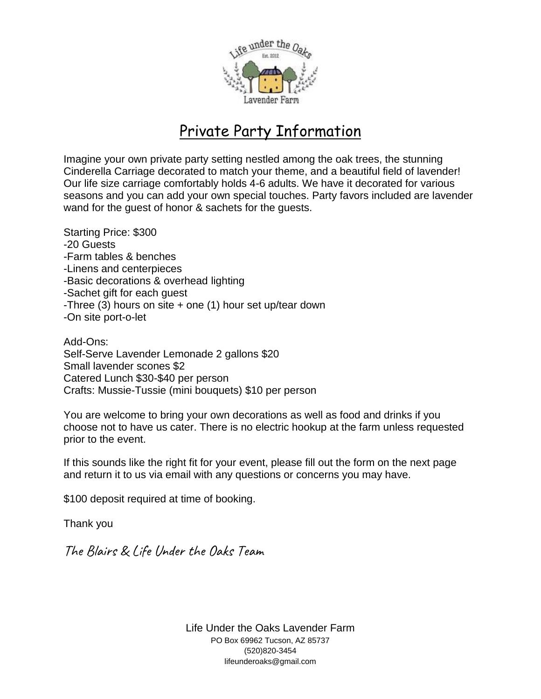

# Private Party Information

Imagine your own private party setting nestled among the oak trees, the stunning Cinderella Carriage decorated to match your theme, and a beautiful field of lavender! Our life size carriage comfortably holds 4-6 adults. We have it decorated for various seasons and you can add your own special touches. Party favors included are lavender wand for the guest of honor & sachets for the guests.

Starting Price: \$300 -20 Guests -Farm tables & benches -Linens and centerpieces -Basic decorations & overhead lighting -Sachet gift for each guest -Three (3) hours on site  $+$  one (1) hour set up/tear down -On site port-o-let

Add-Ons: Self-Serve Lavender Lemonade 2 gallons \$20 Small lavender scones \$2 Catered Lunch \$30-\$40 per person Crafts: Mussie-Tussie (mini bouquets) \$10 per person

You are welcome to bring your own decorations as well as food and drinks if you choose not to have us cater. There is no electric hookup at the farm unless requested prior to the event.

If this sounds like the right fit for your event, please fill out the form on the next page and return it to us via email with any questions or concerns you may have.

\$100 deposit required at time of booking.

Thank you

The Blairs & Life Under the Oaks Team

Life Under the Oaks Lavender Farm PO Box 69962 Tucson, AZ 85737 (520)820-3454 lifeunderoaks@gmail.com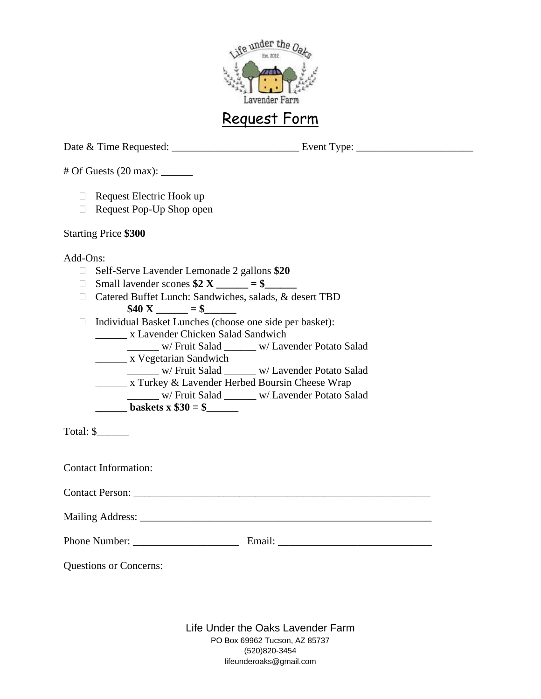

## Request Form

Date & Time Requested: Event Type:

 $\#$  Of Guests (20 max):

- $\Box$  Request Electric Hook up
- $\Box$  Request Pop-Up Shop open

### Starting Price **\$300**

### Add-Ons:

- Self-Serve Lavender Lemonade 2 gallons **\$20**
- $\Box$  Small lavender scones  $$2 X \_\_\_\_\_\_\_\$  = \$
- □ Catered Buffet Lunch: Sandwiches, salads, & desert TBD  $$40 \text{ X} = $$
- □ Individual Basket Lunches (choose one side per basket): \_\_\_\_\_\_ x Lavender Chicken Salad Sandwich \_\_\_\_\_\_ w/ Fruit Salad \_\_\_\_\_\_ w/ Lavender Potato Salad x Vegetarian Sandwich \_\_\_\_\_\_ w/ Fruit Salad \_\_\_\_\_\_ w/ Lavender Potato Salad x Turkey & Lavender Herbed Boursin Cheese Wrap
	- \_\_\_\_\_\_ w/ Fruit Salad \_\_\_\_\_\_ w/ Lavender Potato Salad

**baskets x \$30 = \$\_\_\_\_\_\_** 

Total: \$\_\_\_\_\_\_

Contact Information:

Contact Person: \_\_\_\_\_\_\_\_\_\_\_\_\_\_\_\_\_\_\_\_\_\_\_\_\_\_\_\_\_\_\_\_\_\_\_\_\_\_\_\_\_\_\_\_\_\_\_\_\_\_\_\_\_\_\_\_

Mailing Address: \_\_\_\_\_\_\_\_\_\_\_\_\_\_\_\_\_\_\_\_\_\_\_\_\_\_\_\_\_\_\_\_\_\_\_\_\_\_\_\_\_\_\_\_\_\_\_\_\_\_\_\_\_\_\_

Phone Number: \_\_\_\_\_\_\_\_\_\_\_\_\_\_\_\_\_\_\_\_ Email: \_\_\_\_\_\_\_\_\_\_\_\_\_\_\_\_\_\_\_\_\_\_\_\_\_\_\_\_\_

Questions or Concerns:

Life Under the Oaks Lavender Farm PO Box 69962 Tucson, AZ 85737 (520)820-3454 lifeunderoaks@gmail.com